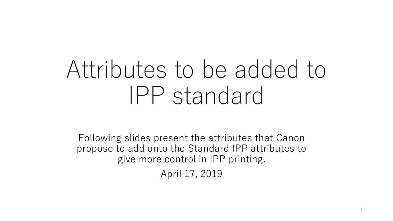# Attributes to be added to IPP standard

Following slides present the attributes that Canon propose to add onto the Standard IPP attributes to give more control in IPP printing. April 17, 2019

1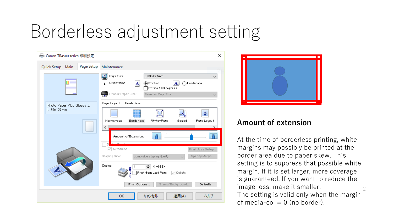### Borderless adjustment setting





#### **Amount of extension**

 $\mathcal{P}$ At the time of borderless printing, white margins may possibly be printed at the border area due to paper skew. This setting is to suppress that possible white margin. If it is set larger, more coverage is guaranteed. If you want to reduce the image loss, make it smaller. The setting is valid only when the margin of media-col  $= 0$  (no border).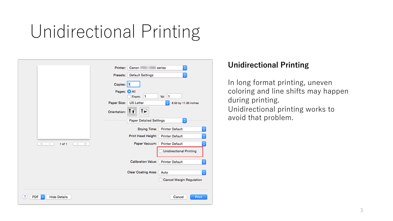## Unidirectional Printing

|                                     | $\ddot{\circ}$<br>Printer: Canon<br>series                   |  |
|-------------------------------------|--------------------------------------------------------------|--|
|                                     | ¢<br>Presets: Default Settings                               |  |
|                                     | Copies: 1                                                    |  |
|                                     | Pages: C All<br>From: 1<br>to: 1                             |  |
|                                     | Paper Size:<br><b>US</b> Letter<br>٠<br>8.50 by 11.00 inches |  |
|                                     | î٠,<br>Īť<br>Orientation:                                    |  |
|                                     | $\hat{\mathbb{C}}$<br><b>Paper Detailed Settings</b>         |  |
|                                     | <b>Printer Default</b><br>٥<br>Drying Time:                  |  |
|                                     | ¢<br>Print Head Height:<br><b>Printer Default</b>            |  |
| $\ll$ $<$<br>$1$ of $1$<br>$2 - 22$ | ¢<br>Paper Vacuum:<br><b>Printer Default</b>                 |  |
|                                     | <b>Unidirectional Printing</b>                               |  |
|                                     | <b>Calibration Value:</b><br><b>Printer Default</b><br>¢     |  |
|                                     | Clear Coating Area:<br>٥<br>Auto                             |  |
|                                     | <b>Cancel Margin Regulation</b>                              |  |
| <b>Hide Details</b><br>PDF          | Cancel<br>Print                                              |  |

#### **Unidirectional Printing**

In long format printing, uneven coloring and line shifts may happen during printing. Unidirectional printing works to avoid that problem.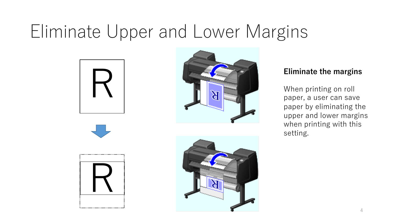### Eliminate Upper and Lower Margins











When printing on roll paper, a user can save paper by eliminating the upper and lower margins when printing with this setting.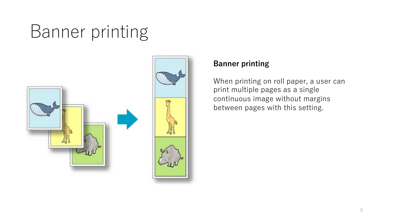## Banner printing





#### **Banner printing**

When printing on roll paper, a user can print multiple pages as a single continuous image without margins between pages with this setting.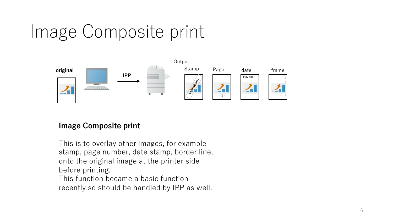### Image Composite print



#### **Image Composite print**

This is to overlay other images, for example stamp, page number, date stamp, border line, onto the original image at the printer side before printing. This function became a basic function recently so should be handled by IPP as well.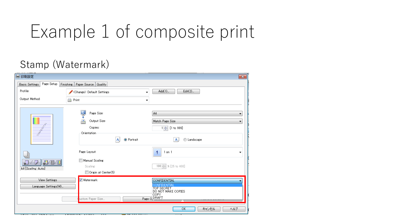### Example 1 of composite print

### Stamp (Watermark)

| (第1印刷設定                                               |                                                                                                                           | $\overline{\mathbf{x}}$                                                                                |
|-------------------------------------------------------|---------------------------------------------------------------------------------------------------------------------------|--------------------------------------------------------------------------------------------------------|
| Page Setup<br><b>Basic Settings</b>                   | Finishing   Paper Source   Quality                                                                                        |                                                                                                        |
| Profile:                                              | <change> Default Settings</change>                                                                                        | $Add(1)$<br>$Edit(2)$<br>۰                                                                             |
| Output Method:                                        | e<br>Print                                                                                                                | ▼                                                                                                      |
|                                                       | A<br>Page Size:<br>$\overline{\mathbf{A}}$<br>Output Size:<br>Copies:<br>Orientation<br>$\mathbf{A}$<br><b>O</b> Portrait | A4<br>▼<br>Match Page Size<br>۰<br>1 → [1 to 999]<br>C Landscape<br>$\mathbf{A}$                       |
| <b>a</b> /0/0<br>P<br>$\bullet$<br>A4 [Scaling: Auto] | Page Layout:<br>Manual Scaling<br>Scaling:<br>$\Box$ Origin at Center(5)                                                  | $1$ on $1$<br>4<br>▼<br>100 % [25 to 400]                                                              |
| <b>View Settings</b><br>Language Settings(W)          | V Watermark:<br>ustom Paper Size                                                                                          | CONFIDENTIAL<br>CONFIDENTIAL<br><b>TOP SECRET</b><br>DO NOT MAKE COPIES<br><b>COPY</b><br>Page O DRAFT |
| <b>PARTY IN THE REAL PROPERTY</b><br>7877⊤            | <del>- , , , , , , ,</del><br><del>. 111 11 21 11 23 7</del>                                                              | キャンセル<br>ヘルプ<br>OK                                                                                     |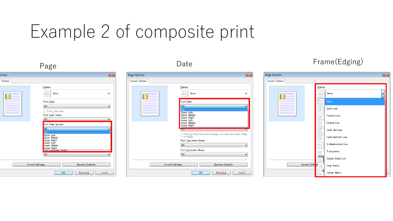### Example 2 of composite print